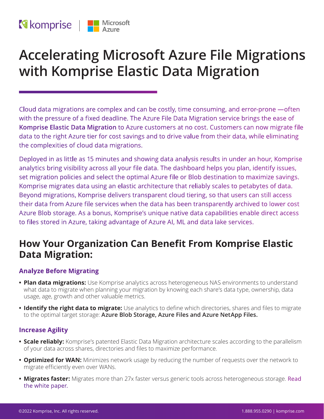# **Reference** | Microsoft

# **Accelerating Microsoft Azure File Migrations with Komprise Elastic Data Migration**

Cloud data migrations are complex and can be costly, time consuming, and error-prone —often with the pressure of a fixed deadline. The Azure File Data Migration service brings the ease of **[Komprise Elastic Data Migration](https://www.komprise.com/product/elastic-data-migration/)** to Azure customers at no cost. Customers can now migrate file data to the right Azure tier for cost savings and to drive value from their data, while eliminating the complexities of cloud data migrations.

Deployed in as little as 15 minutes and showing data analysis results in under an hour, Komprise analytics bring visibility across all your file data. The dashboard helps you plan, identify issues, set migration policies and select the optimal Azure file or Blob destination to maximize savings. Komprise migrates data using an elastic architecture that reliably scales to petabytes of data. Beyond migrations, Komprise delivers transparent cloud tiering, so that users can still access their data from Azure file services when the data has been transparently archived to lower cost Azure Blob storage. As a bonus, Komprise's unique native data capabilities enable direct access to files stored in Azure, taking advantage of Azure AI, ML and data lake services.

## **How Your Organization Can Benefit From Komprise Elastic Data Migration:**

### **Analyze Before Migrating**

- **• Plan data migrations:** Use Komprise analytics across heterogeneous NAS environments to understand what data to migrate when planning your migration by knowing each share's data type, ownership, data usage, age, growth and other valuable metrics.
- **• Identify the right data to migrate:** Use analytics to define which directories, shares and files to migrate to the optimal target storage: **Azure Blob Storage, Azure Files and Azure NetApp Files.**

### **Increase Agility**

- **• Scale reliably:** Komprise's patented Elastic Data Migration architecture scales according to the parallelism of your data across shares, directories and files to maximize performance.
- **• Optimized for WAN:** Minimizes network usage by reducing the number of requests over the network to migrate efficiently even over WANs.
- **• Migrates faster:** Migrates more than 27x faster versus generic tools across heterogeneous storage. [Read](https://www.komprise.com/resource/how-to-accelerate-nas-and-cloud-data-migrations/)  [the white paper.](https://www.komprise.com/resource/how-to-accelerate-nas-and-cloud-data-migrations/)